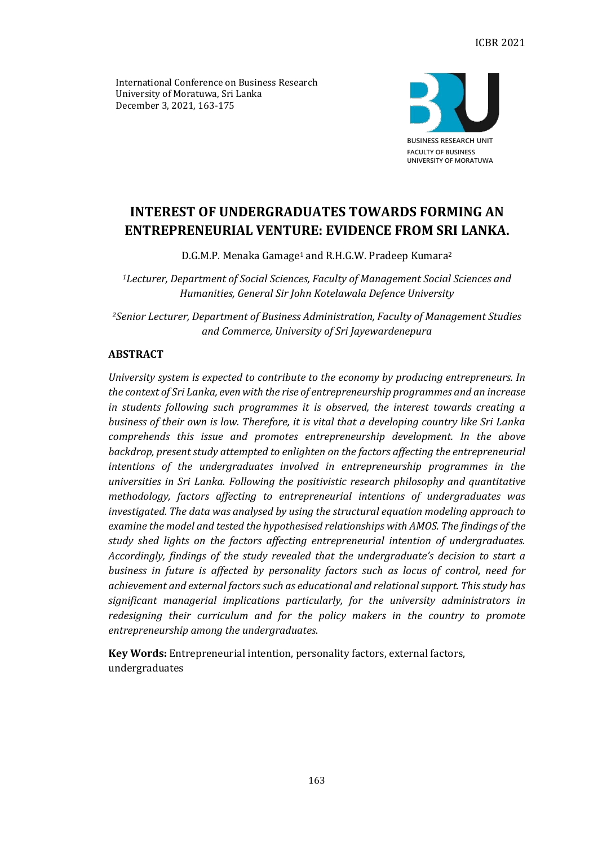International Conference on Business Research University of Moratuwa, Sri Lanka December 3, 2021, 163-175



# **INTEREST OF UNDERGRADUATES TOWARDS FORMING AN ENTREPRENEURIAL VENTURE: EVIDENCE FROM SRI LANKA.**

D.G.M.P. Menaka Gamage<sup>1</sup> and R.H.G.W. Pradeep Kumara<sup>2</sup>

*<sup>1</sup>Lecturer, Department of Social Sciences, Faculty of Management Social Sciences and Humanities, General Sir John Kotelawala Defence University*

*<sup>2</sup>Senior Lecturer, Department of Business Administration, Faculty of Management Studies and Commerce, University of Sri Jayewardenepura*

# **ABSTRACT**

*University system is expected to contribute to the economy by producing entrepreneurs. In the context of Sri Lanka, even with the rise of entrepreneurship programmes and an increase in students following such programmes it is observed, the interest towards creating a business of their own is low. Therefore, it is vital that a developing country like Sri Lanka comprehends this issue and promotes entrepreneurship development. In the above backdrop, present study attempted to enlighten on the factors affecting the entrepreneurial intentions of the undergraduates involved in entrepreneurship programmes in the universities in Sri Lanka. Following the positivistic research philosophy and quantitative methodology, factors affecting to entrepreneurial intentions of undergraduates was investigated. The data was analysed by using the structural equation modeling approach to examine the model and tested the hypothesised relationships with AMOS. The findings of the study shed lights on the factors affecting entrepreneurial intention of undergraduates. Accordingly, findings of the study revealed that the undergraduate's decision to start a business in future is affected by personality factors such as locus of control, need for achievement and external factors such as educational and relational support. This study has significant managerial implications particularly, for the university administrators in redesigning their curriculum and for the policy makers in the country to promote entrepreneurship among the undergraduates*.

**Key Words:** Entrepreneurial intention, personality factors, external factors, undergraduates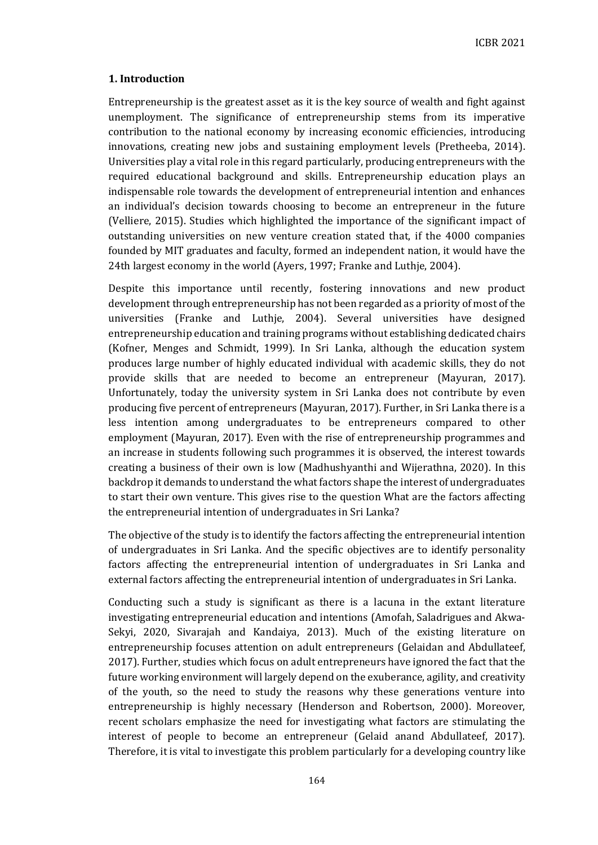# **1. Introduction**

Entrepreneurship is the greatest asset as it is the key source of wealth and fight against unemployment. The significance of entrepreneurship stems from its imperative contribution to the national economy by increasing economic efficiencies, introducing innovations, creating new jobs and sustaining employment levels (Pretheeba, 2014). Universities play a vital role in this regard particularly, producing entrepreneurs with the required educational background and skills. Entrepreneurship education plays an indispensable role towards the development of entrepreneurial intention and enhances an individual's decision towards choosing to become an entrepreneur in the future (Velliere, 2015). Studies which highlighted the importance of the significant impact of outstanding universities on new venture creation stated that, if the 4000 companies founded by MIT graduates and faculty, formed an independent nation, it would have the 24th largest economy in the world (Ayers, 1997; Franke and Luthje, 2004).

Despite this importance until recently, fostering innovations and new product development through entrepreneurship has not been regarded as a priority of most of the universities (Franke and Luthje, 2004). Several universities have designed entrepreneurship education and training programs without establishing dedicated chairs (Kofner, Menges and Schmidt, 1999). In Sri Lanka, although the education system produces large number of highly educated individual with academic skills, they do not provide skills that are needed to become an entrepreneur (Mayuran, 2017). Unfortunately, today the university system in Sri Lanka does not contribute by even producing five percent of entrepreneurs (Mayuran, 2017). Further, in Sri Lanka there is a less intention among undergraduates to be entrepreneurs compared to other employment (Mayuran, 2017). Even with the rise of entrepreneurship programmes and an increase in students following such programmes it is observed, the interest towards creating a business of their own is low (Madhushyanthi and Wijerathna, 2020). In this backdrop it demands to understand the what factors shape the interest of undergraduates to start their own venture. This gives rise to the question What are the factors affecting the entrepreneurial intention of undergraduates in Sri Lanka?

The objective of the study is to identify the factors affecting the entrepreneurial intention of undergraduates in Sri Lanka. And the specific objectives are to identify personality factors affecting the entrepreneurial intention of undergraduates in Sri Lanka and external factors affecting the entrepreneurial intention of undergraduates in Sri Lanka.

Conducting such a study is significant as there is a lacuna in the extant literature investigating entrepreneurial education and intentions (Amofah, Saladrigues and Akwa-Sekyi, 2020, Sivarajah and Kandaiya, 2013). Much of the existing literature on entrepreneurship focuses attention on adult entrepreneurs (Gelaidan and Abdullateef, 2017). Further, studies which focus on adult entrepreneurs have ignored the fact that the future working environment will largely depend on the exuberance, agility, and creativity of the youth, so the need to study the reasons why these generations venture into entrepreneurship is highly necessary (Henderson and Robertson, 2000). Moreover, recent scholars emphasize the need for investigating what factors are stimulating the interest of people to become an entrepreneur (Gelaid anand Abdullateef, 2017). Therefore, it is vital to investigate this problem particularly for a developing country like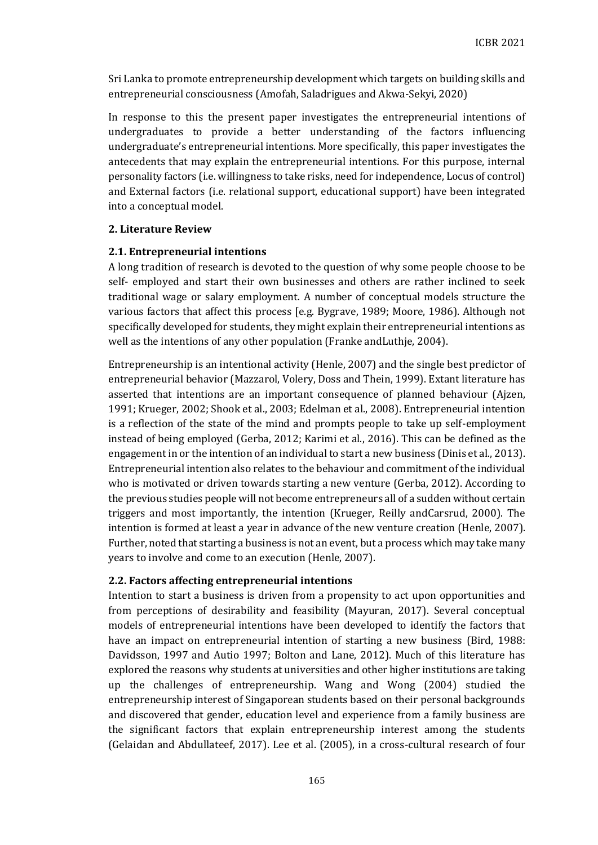Sri Lanka to promote entrepreneurship development which targets on building skills and entrepreneurial consciousness (Amofah, Saladrigues and Akwa-Sekyi, 2020)

In response to this the present paper investigates the entrepreneurial intentions of undergraduates to provide a better understanding of the factors influencing undergraduate's entrepreneurial intentions. More specifically, this paper investigates the antecedents that may explain the entrepreneurial intentions. For this purpose, internal personality factors (i.e. willingness to take risks, need for independence, Locus of control) and External factors (i.e. relational support, educational support) have been integrated into a conceptual model.

## **2. Literature Review**

# **2.1. Entrepreneurial intentions**

A long tradition of research is devoted to the question of why some people choose to be self- employed and start their own businesses and others are rather inclined to seek traditional wage or salary employment. A number of conceptual models structure the various factors that affect this process [e.g. Bygrave, 1989; Moore, 1986). Although not specifically developed for students, they might explain their entrepreneurial intentions as well as the intentions of any other population (Franke andLuthje, 2004).

Entrepreneurship is an intentional activity (Henle, 2007) and the single best predictor of entrepreneurial behavior (Mazzarol, Volery, Doss and Thein, 1999). Extant literature has asserted that intentions are an important consequence of planned behaviour (Ajzen, 1991; Krueger, 2002; Shook et al., 2003; Edelman et al., 2008). Entrepreneurial intention is a reflection of the state of the mind and prompts people to take up self-employment instead of being employed (Gerba, 2012; Karimi et al., 2016). This can be defined as the engagement in or the intention of an individual to start a new business (Dinis et al., 2013). Entrepreneurial intention also relates to the behaviour and commitment of the individual who is motivated or driven towards starting a new venture (Gerba, 2012). According to the previous studies people will not become entrepreneurs all of a sudden without certain triggers and most importantly, the intention (Krueger, Reilly andCarsrud, 2000). The intention is formed at least a year in advance of the new venture creation (Henle, 2007). Further, noted that starting a business is not an event, but a process which may take many years to involve and come to an execution (Henle, 2007).

## **2.2. Factors affecting entrepreneurial intentions**

Intention to start a business is driven from a propensity to act upon opportunities and from perceptions of desirability and feasibility (Mayuran, 2017). Several conceptual models of entrepreneurial intentions have been developed to identify the factors that have an impact on entrepreneurial intention of starting a new business (Bird, 1988: Davidsson, 1997 and Autio 1997; Bolton and Lane, 2012). Much of this literature has explored the reasons why students at universities and other higher institutions are taking up the challenges of entrepreneurship. Wang and Wong (2004) studied the entrepreneurship interest of Singaporean students based on their personal backgrounds and discovered that gender, education level and experience from a family business are the significant factors that explain entrepreneurship interest among the students (Gelaidan and Abdullateef, 2017). Lee et al. (2005), in a cross-cultural research of four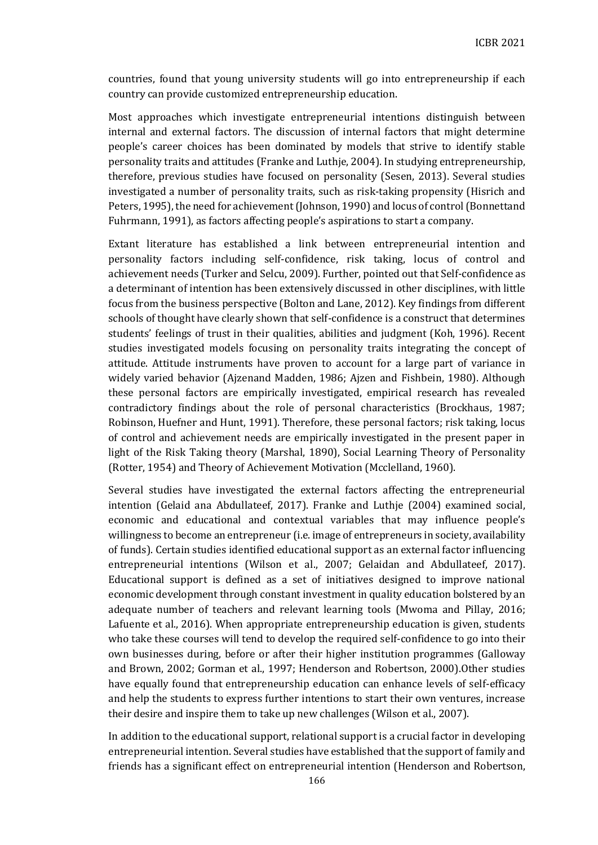countries, found that young university students will go into entrepreneurship if each country can provide customized entrepreneurship education.

Most approaches which investigate entrepreneurial intentions distinguish between internal and external factors. The discussion of internal factors that might determine people's career choices has been dominated by models that strive to identify stable personality traits and attitudes (Franke and Luthje, 2004). In studying entrepreneurship, therefore, previous studies have focused on personality (Sesen, 2013). Several studies investigated a number of personality traits, such as risk-taking propensity (Hisrich and Peters, 1995), the need for achievement (Johnson, 1990) and locus of control (Bonnettand Fuhrmann, 1991), as factors affecting people's aspirations to start a company.

Extant literature has established a link between entrepreneurial intention and personality factors including self-confidence, risk taking, locus of control and achievement needs (Turker and Selcu, 2009). Further, pointed out that Self-confidence as a determinant of intention has been extensively discussed in other disciplines, with little focus from the business perspective (Bolton and Lane, 2012). Key findings from different schools of thought have clearly shown that self-confidence is a construct that determines students' feelings of trust in their qualities, abilities and judgment (Koh, 1996). Recent studies investigated models focusing on personality traits integrating the concept of attitude. Attitude instruments have proven to account for a large part of variance in widely varied behavior (Ajzenand Madden, 1986; Ajzen and Fishbein, 1980). Although these personal factors are empirically investigated, empirical research has revealed contradictory findings about the role of personal characteristics (Brockhaus, 1987; Robinson, Huefner and Hunt, 1991). Therefore, these personal factors; risk taking, locus of control and achievement needs are empirically investigated in the present paper in light of the Risk Taking theory (Marshal, 1890), Social Learning Theory of Personality (Rotter, 1954) and Theory of Achievement Motivation (Mcclelland, 1960).

Several studies have investigated the external factors affecting the entrepreneurial intention (Gelaid ana Abdullateef, 2017). Franke and Luthje (2004) examined social, economic and educational and contextual variables that may influence people's willingness to become an entrepreneur (i.e. image of entrepreneurs in society, availability of funds). Certain studies identified educational support as an external factor influencing entrepreneurial intentions (Wilson et al., 2007; Gelaidan and Abdullateef, 2017). Educational support is defined as a set of initiatives designed to improve national economic development through constant investment in quality education bolstered by an adequate number of teachers and relevant learning tools (Mwoma and Pillay, 2016; Lafuente et al., 2016). When appropriate entrepreneurship education is given, students who take these courses will tend to develop the required self-confidence to go into their own businesses during, before or after their higher institution programmes (Galloway and Brown, 2002; Gorman et al., 1997; Henderson and Robertson, 2000).Other studies have equally found that entrepreneurship education can enhance levels of self-efficacy and help the students to express further intentions to start their own ventures, increase their desire and inspire them to take up new challenges (Wilson et al., 2007).

In addition to the educational support, relational support is a crucial factor in developing entrepreneurial intention. Several studies have established that the support of family and friends has a significant effect on entrepreneurial intention (Henderson and Robertson,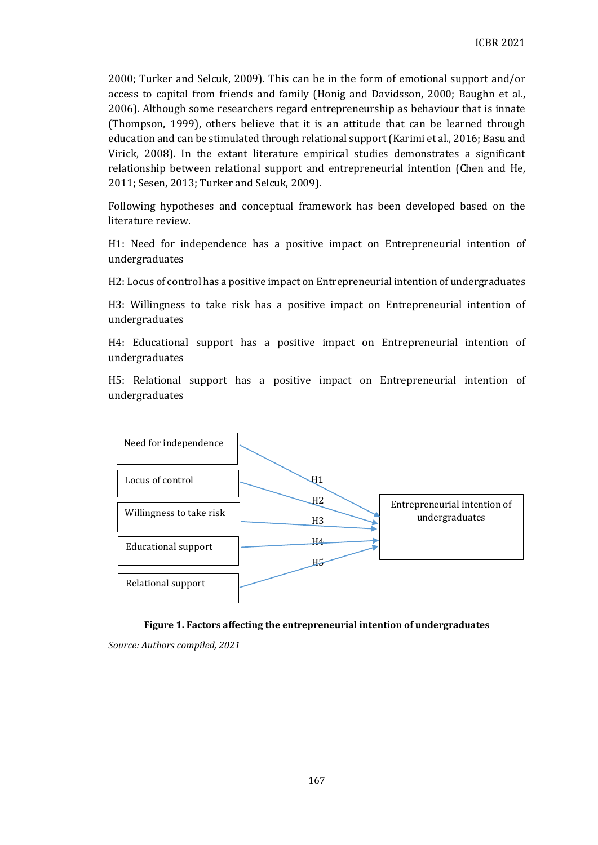2000; Turker and Selcuk, 2009). This can be in the form of emotional support and/or access to capital from friends and family (Honig and Davidsson, 2000; Baughn et al., 2006). Although some researchers regard entrepreneurship as behaviour that is innate (Thompson, 1999), others believe that it is an attitude that can be learned through education and can be stimulated through relational support (Karimi et al., 2016; Basu and Virick, 2008). In the extant literature empirical studies demonstrates a significant relationship between relational support and entrepreneurial intention (Chen and He, 2011; Sesen, 2013; Turker and Selcuk, 2009).

Following hypotheses and conceptual framework has been developed based on the literature review.

H1: Need for independence has a positive impact on Entrepreneurial intention of undergraduates

H2: Locus of control has a positive impact on Entrepreneurial intention of undergraduates

H3: Willingness to take risk has a positive impact on Entrepreneurial intention of undergraduates

H4: Educational support has a positive impact on Entrepreneurial intention of undergraduates

H5: Relational support has a positive impact on Entrepreneurial intention of undergraduates





*Source: Authors compiled, 2021*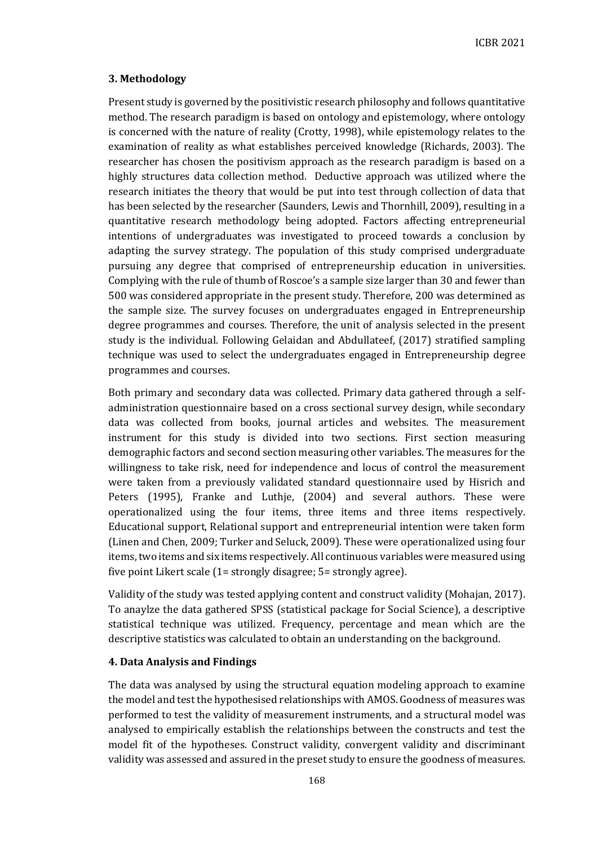# **3. Methodology**

Present study is governed by the positivistic research philosophy and follows quantitative method. The research paradigm is based on ontology and epistemology, where ontology is concerned with the nature of reality (Crotty, 1998), while epistemology relates to the examination of reality as what establishes perceived knowledge (Richards, 2003). The researcher has chosen the positivism approach as the research paradigm is based on a highly structures data collection method. Deductive approach was utilized where the research initiates the theory that would be put into test through collection of data that has been selected by the researcher (Saunders, Lewis and Thornhill, 2009), resulting in a quantitative research methodology being adopted. Factors affecting entrepreneurial intentions of undergraduates was investigated to proceed towards a conclusion by adapting the survey strategy. The population of this study comprised undergraduate pursuing any degree that comprised of entrepreneurship education in universities. Complying with the rule of thumb of Roscoe's a sample size larger than 30 and fewer than 500 was considered appropriate in the present study. Therefore, 200 was determined as the sample size. The survey focuses on undergraduates engaged in Entrepreneurship degree programmes and courses. Therefore, the unit of analysis selected in the present study is the individual. Following Gelaidan and Abdullateef, (2017) stratified sampling technique was used to select the undergraduates engaged in Entrepreneurship degree programmes and courses.

Both primary and secondary data was collected. Primary data gathered through a selfadministration questionnaire based on a cross sectional survey design, while secondary data was collected from books, journal articles and websites. The measurement instrument for this study is divided into two sections. First section measuring demographic factors and second section measuring other variables. The measures for the willingness to take risk, need for independence and locus of control the measurement were taken from a previously validated standard questionnaire used by Hisrich and Peters (1995), Franke and Luthje, (2004) and several authors. These were operationalized using the four items, three items and three items respectively. Educational support, Relational support and entrepreneurial intention were taken form (Linen and Chen, 2009; Turker and Seluck, 2009). These were operationalized using four items, two items and six items respectively. All continuous variables were measured using five point Likert scale (1= strongly disagree; 5= strongly agree).

Validity of the study was tested applying content and construct validity (Mohajan, 2017). To anaylze the data gathered SPSS (statistical package for Social Science), a descriptive statistical technique was utilized. Frequency, percentage and mean which are the descriptive statistics was calculated to obtain an understanding on the background.

## **4. Data Analysis and Findings**

The data was analysed by using the structural equation modeling approach to examine the model and test the hypothesised relationships with AMOS. Goodness of measures was performed to test the validity of measurement instruments, and a structural model was analysed to empirically establish the relationships between the constructs and test the model fit of the hypotheses. Construct validity, convergent validity and discriminant validity was assessed and assured in the preset study to ensure the goodness of measures.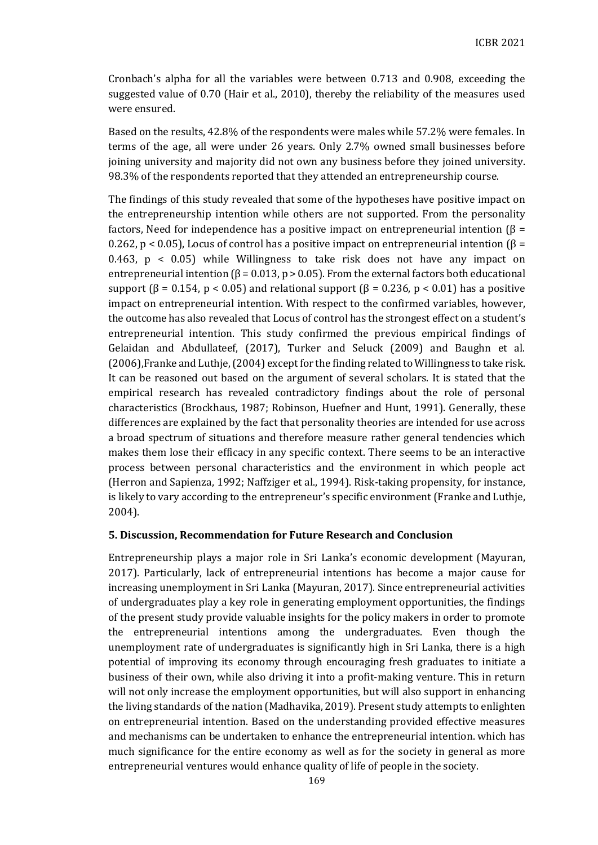Cronbach's alpha for all the variables were between 0.713 and 0.908, exceeding the suggested value of 0.70 (Hair et al., 2010), thereby the reliability of the measures used were ensured.

Based on the results, 42.8% of the respondents were males while 57.2% were females. In terms of the age, all were under 26 years. Only 2.7% owned small businesses before joining university and majority did not own any business before they joined university. 98.3% of the respondents reported that they attended an entrepreneurship course.

The findings of this study revealed that some of the hypotheses have positive impact on the entrepreneurship intention while others are not supported. From the personality factors, Need for independence has a positive impact on entrepreneurial intention ( $\beta$  = 0.262, p < 0.05), Locus of control has a positive impact on entrepreneurial intention  $\beta$  = 0.463, p < 0.05) while Willingness to take risk does not have any impact on entrepreneurial intention ( $\beta$  = 0.013, p > 0.05). From the external factors both educational support ( $\beta$  = 0.154, p < 0.05) and relational support ( $\beta$  = 0.236, p < 0.01) has a positive impact on entrepreneurial intention. With respect to the confirmed variables, however, the outcome has also revealed that Locus of control has the strongest effect on a student's entrepreneurial intention. This study confirmed the previous empirical findings of Gelaidan and Abdullateef, (2017), Turker and Seluck (2009) and Baughn et al. (2006),Franke and Luthje, (2004) except for the finding related to Willingness to take risk. It can be reasoned out based on the argument of several scholars. It is stated that the empirical research has revealed contradictory findings about the role of personal characteristics (Brockhaus, 1987; Robinson, Huefner and Hunt, 1991). Generally, these differences are explained by the fact that personality theories are intended for use across a broad spectrum of situations and therefore measure rather general tendencies which makes them lose their efficacy in any specific context. There seems to be an interactive process between personal characteristics and the environment in which people act (Herron and Sapienza, 1992; Naffziger et al., 1994). Risk-taking propensity, for instance, is likely to vary according to the entrepreneur's specific environment (Franke and Luthje, 2004).

## **5. Discussion, Recommendation for Future Research and Conclusion**

Entrepreneurship plays a major role in Sri Lanka's economic development (Mayuran, 2017). Particularly, lack of entrepreneurial intentions has become a major cause for increasing unemployment in Sri Lanka (Mayuran, 2017). Since entrepreneurial activities of undergraduates play a key role in generating employment opportunities, the findings of the present study provide valuable insights for the policy makers in order to promote the entrepreneurial intentions among the undergraduates. Even though the unemployment rate of undergraduates is significantly high in Sri Lanka, there is a high potential of improving its economy through encouraging fresh graduates to initiate a business of their own, while also driving it into a profit-making venture. This in return will not only increase the employment opportunities, but will also support in enhancing the living standards of the nation (Madhavika, 2019). Present study attempts to enlighten on entrepreneurial intention. Based on the understanding provided effective measures and mechanisms can be undertaken to enhance the entrepreneurial intention. which has much significance for the entire economy as well as for the society in general as more entrepreneurial ventures would enhance quality of life of people in the society.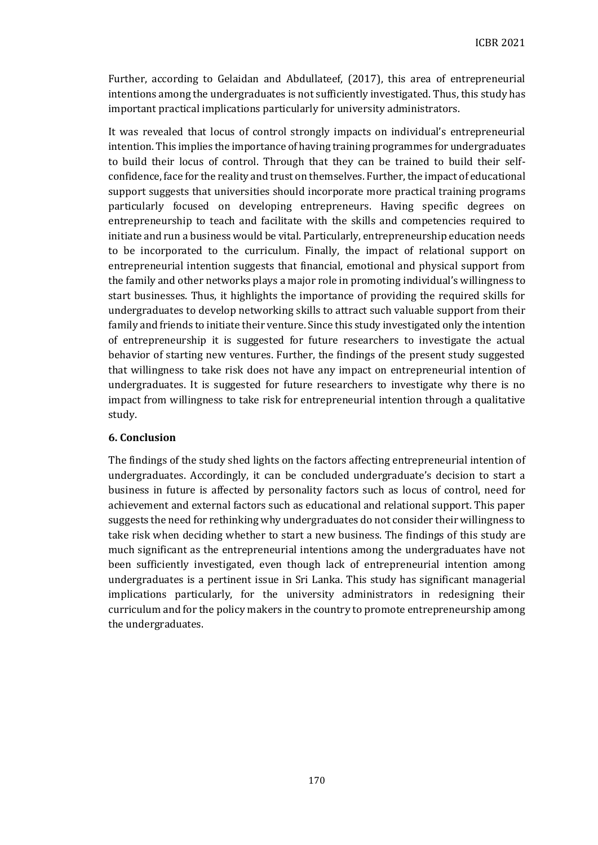Further, according to Gelaidan and Abdullateef, (2017), this area of entrepreneurial intentions among the undergraduates is not sufficiently investigated. Thus, this study has important practical implications particularly for university administrators.

It was revealed that locus of control strongly impacts on individual's entrepreneurial intention. This implies the importance of having training programmes for undergraduates to build their locus of control. Through that they can be trained to build their selfconfidence, face for the reality and trust on themselves. Further, the impact of educational support suggests that universities should incorporate more practical training programs particularly focused on developing entrepreneurs. Having specific degrees on entrepreneurship to teach and facilitate with the skills and competencies required to initiate and run a business would be vital. Particularly, entrepreneurship education needs to be incorporated to the curriculum. Finally, the impact of relational support on entrepreneurial intention suggests that financial, emotional and physical support from the family and other networks plays a major role in promoting individual's willingness to start businesses. Thus, it highlights the importance of providing the required skills for undergraduates to develop networking skills to attract such valuable support from their family and friends to initiate their venture. Since this study investigated only the intention of entrepreneurship it is suggested for future researchers to investigate the actual behavior of starting new ventures. Further, the findings of the present study suggested that willingness to take risk does not have any impact on entrepreneurial intention of undergraduates. It is suggested for future researchers to investigate why there is no impact from willingness to take risk for entrepreneurial intention through a qualitative study.

# **6. Conclusion**

The findings of the study shed lights on the factors affecting entrepreneurial intention of undergraduates. Accordingly, it can be concluded undergraduate's decision to start a business in future is affected by personality factors such as locus of control, need for achievement and external factors such as educational and relational support. This paper suggests the need for rethinking why undergraduates do not consider their willingness to take risk when deciding whether to start a new business. The findings of this study are much significant as the entrepreneurial intentions among the undergraduates have not been sufficiently investigated, even though lack of entrepreneurial intention among undergraduates is a pertinent issue in Sri Lanka. This study has significant managerial implications particularly, for the university administrators in redesigning their curriculum and for the policy makers in the country to promote entrepreneurship among the undergraduates.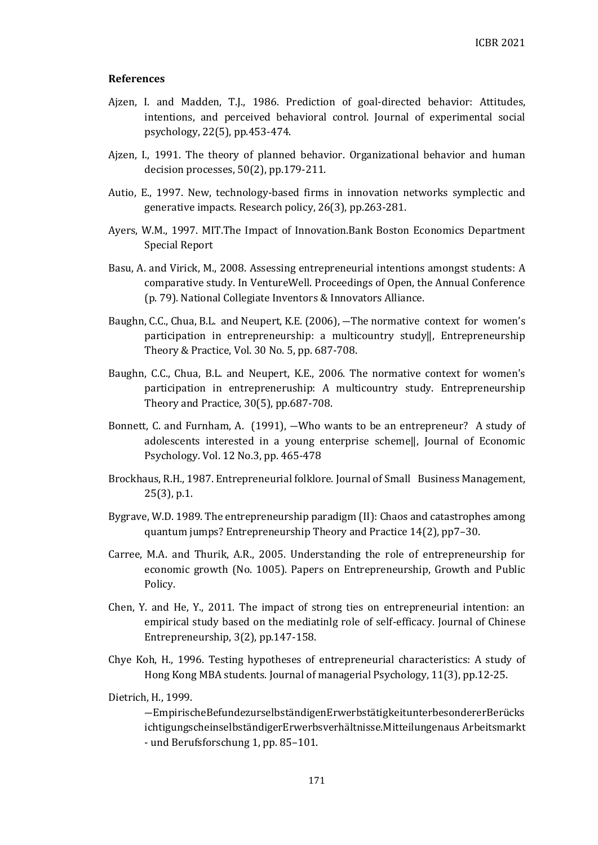## **References**

- Ajzen, I. and Madden, T.J., 1986. Prediction of goal-directed behavior: Attitudes, intentions, and perceived behavioral control. Journal of experimental social psychology, 22(5), pp.453-474.
- Ajzen, I., 1991. The theory of planned behavior. Organizational behavior and human decision processes, 50(2), pp.179-211.
- Autio, E., 1997. New, technology-based firms in innovation networks symplectic and generative impacts. Research policy, 26(3), pp.263-281.
- Ayers, W.M., 1997. MIT.The Impact of Innovation.Bank Boston Economics Department Special Report
- Basu, A. and Virick, M., 2008. Assessing entrepreneurial intentions amongst students: A comparative study. In VentureWell. Proceedings of Open, the Annual Conference (p. 79). National Collegiate Inventors & Innovators Alliance.
- Baughn, C.C., Chua, B.L. and Neupert, K.E. (2006), ―The normative context for women's participation in entrepreneurship: a multicountry study‖, Entrepreneurship Theory & Practice, Vol. 30 No. 5, pp. 687-708.
- Baughn, C.C., Chua, B.L. and Neupert, K.E., 2006. The normative context for women's participation in entrepreneruship: A multicountry study. Entrepreneurship Theory and Practice, 30(5), pp.687-708.
- Bonnett, C. and Furnham, A. (1991), ―Who wants to be an entrepreneur? A study of adolescents interested in a young enterprise scheme‖, Journal of Economic Psychology. Vol. 12 No.3, pp. 465-478
- Brockhaus, R.H., 1987. Entrepreneurial folklore. Journal of Small Business Management, 25(3), p.1.
- Bygrave, W.D. 1989. The entrepreneurship paradigm (II): Chaos and catastrophes among quantum jumps? Entrepreneurship Theory and Practice 14(2), pp7–30.
- Carree, M.A. and Thurik, A.R., 2005. Understanding the role of entrepreneurship for economic growth (No. 1005). Papers on Entrepreneurship, Growth and Public Policy.
- Chen, Y. and He, Y., 2011. The impact of strong ties on entrepreneurial intention: an empirical study based on the mediatinlg role of self-efficacy. Journal of Chinese Entrepreneurship, 3(2), pp.147-158.
- Chye Koh, H., 1996. Testing hypotheses of entrepreneurial characteristics: A study of Hong Kong MBA students. Journal of managerial Psychology, 11(3), pp.12-25.
- Dietrich, H., 1999.

―EmpirischeBefundezurselbständigenErwerbstätigkeitunterbesondererBerücks ichtigungscheinselbständigerErwerbsverhältnisse.Mitteilungenaus Arbeitsmarkt - und Berufsforschung 1, pp. 85–101.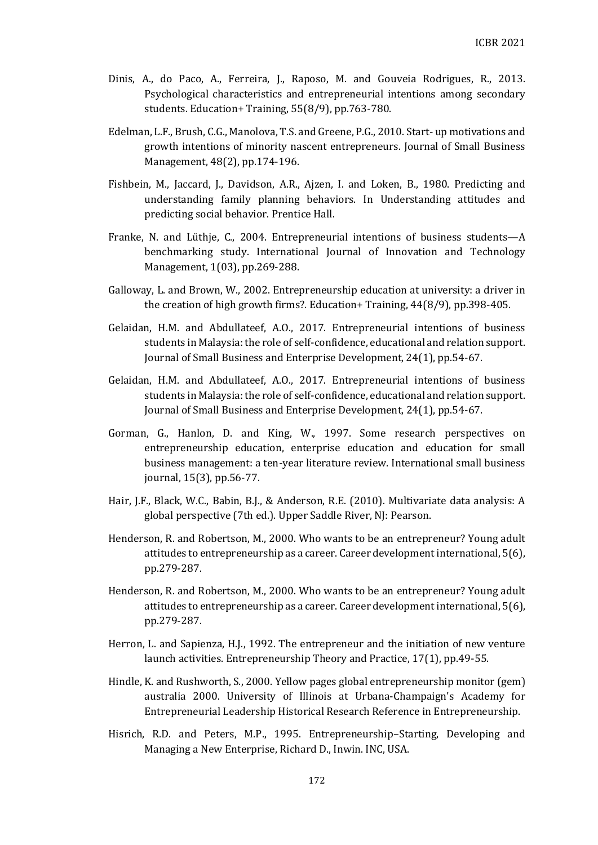- Dinis, A., do Paco, A., Ferreira, J., Raposo, M. and Gouveia Rodrigues, R., 2013. Psychological characteristics and entrepreneurial intentions among secondary students. Education+ Training, 55(8/9), pp.763-780.
- Edelman, L.F., Brush, C.G., Manolova, T.S. and Greene, P.G., 2010. Start‐ up motivations and growth intentions of minority nascent entrepreneurs. Journal of Small Business Management, 48(2), pp.174-196.
- Fishbein, M., Jaccard, J., Davidson, A.R., Ajzen, I. and Loken, B., 1980. Predicting and understanding family planning behaviors. In Understanding attitudes and predicting social behavior. Prentice Hall.
- Franke, N. and Lüthje, C., 2004. Entrepreneurial intentions of business students—A benchmarking study. International Journal of Innovation and Technology Management, 1(03), pp.269-288.
- Galloway, L. and Brown, W., 2002. Entrepreneurship education at university: a driver in the creation of high growth firms?. Education+ Training, 44(8/9), pp.398-405.
- Gelaidan, H.M. and Abdullateef, A.O., 2017. Entrepreneurial intentions of business students in Malaysia: the role of self-confidence, educational and relation support. Journal of Small Business and Enterprise Development, 24(1), pp.54-67.
- Gelaidan, H.M. and Abdullateef, A.O., 2017. Entrepreneurial intentions of business students in Malaysia: the role of self-confidence, educational and relation support. Journal of Small Business and Enterprise Development, 24(1), pp.54-67.
- Gorman, G., Hanlon, D. and King, W., 1997. Some research perspectives on entrepreneurship education, enterprise education and education for small business management: a ten-year literature review. International small business journal, 15(3), pp.56-77.
- Hair, J.F., Black, W.C., Babin, B.J., & Anderson, R.E. (2010). Multivariate data analysis: A global perspective (7th ed.). Upper Saddle River, NJ: Pearson.
- Henderson, R. and Robertson, M., 2000. Who wants to be an entrepreneur? Young adult attitudes to entrepreneurship as a career. Career development international, 5(6), pp.279-287.
- Henderson, R. and Robertson, M., 2000. Who wants to be an entrepreneur? Young adult attitudes to entrepreneurship as a career. Career development international, 5(6), pp.279-287.
- Herron, L. and Sapienza, H.J., 1992. The entrepreneur and the initiation of new venture launch activities. Entrepreneurship Theory and Practice, 17(1), pp.49-55.
- Hindle, K. and Rushworth, S., 2000. Yellow pages global entrepreneurship monitor (gem) australia 2000. University of Illinois at Urbana-Champaign's Academy for Entrepreneurial Leadership Historical Research Reference in Entrepreneurship.
- Hisrich, R.D. and Peters, M.P., 1995. Entrepreneurship–Starting, Developing and Managing a New Enterprise, Richard D., Inwin. INC, USA.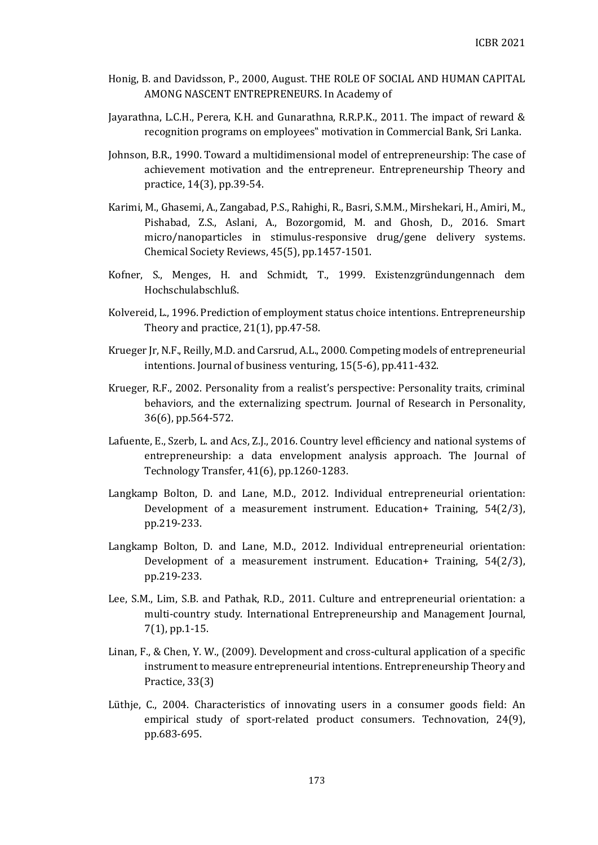- Honig, B. and Davidsson, P., 2000, August. THE ROLE OF SOCIAL AND HUMAN CAPITAL AMONG NASCENT ENTREPRENEURS. In Academy of
- Jayarathna, L.C.H., Perera, K.H. and Gunarathna, R.R.P.K., 2011. The impact of reward & recognition programs on employees" motivation in Commercial Bank, Sri Lanka.
- Johnson, B.R., 1990. Toward a multidimensional model of entrepreneurship: The case of achievement motivation and the entrepreneur. Entrepreneurship Theory and practice, 14(3), pp.39-54.
- Karimi, M., Ghasemi, A., Zangabad, P.S., Rahighi, R., Basri, S.M.M., Mirshekari, H., Amiri, M., Pishabad, Z.S., Aslani, A., Bozorgomid, M. and Ghosh, D., 2016. Smart micro/nanoparticles in stimulus-responsive drug/gene delivery systems. Chemical Society Reviews, 45(5), pp.1457-1501.
- Kofner, S., Menges, H. and Schmidt, T., 1999. Existenzgründungennach dem Hochschulabschluß.
- Kolvereid, L., 1996. Prediction of employment status choice intentions. Entrepreneurship Theory and practice, 21(1), pp.47-58.
- Krueger Jr, N.F., Reilly, M.D. and Carsrud, A.L., 2000. Competing models of entrepreneurial intentions. Journal of business venturing, 15(5-6), pp.411-432.
- Krueger, R.F., 2002. Personality from a realist's perspective: Personality traits, criminal behaviors, and the externalizing spectrum. Journal of Research in Personality, 36(6), pp.564-572.
- Lafuente, E., Szerb, L. and Acs, Z.J., 2016. Country level efficiency and national systems of entrepreneurship: a data envelopment analysis approach. The Journal of Technology Transfer, 41(6), pp.1260-1283.
- Langkamp Bolton, D. and Lane, M.D., 2012. Individual entrepreneurial orientation: Development of a measurement instrument. Education+ Training, 54(2/3), pp.219-233.
- Langkamp Bolton, D. and Lane, M.D., 2012. Individual entrepreneurial orientation: Development of a measurement instrument. Education+ Training, 54(2/3), pp.219-233.
- Lee, S.M., Lim, S.B. and Pathak, R.D., 2011. Culture and entrepreneurial orientation: a multi-country study. International Entrepreneurship and Management Journal, 7(1), pp.1-15.
- Linan, F., & Chen, Y. W., (2009). Development and cross-cultural application of a specific instrument to measure entrepreneurial intentions. Entrepreneurship Theory and Practice, 33(3)
- Lüthje, C., 2004. Characteristics of innovating users in a consumer goods field: An empirical study of sport-related product consumers. Technovation, 24(9), pp.683-695.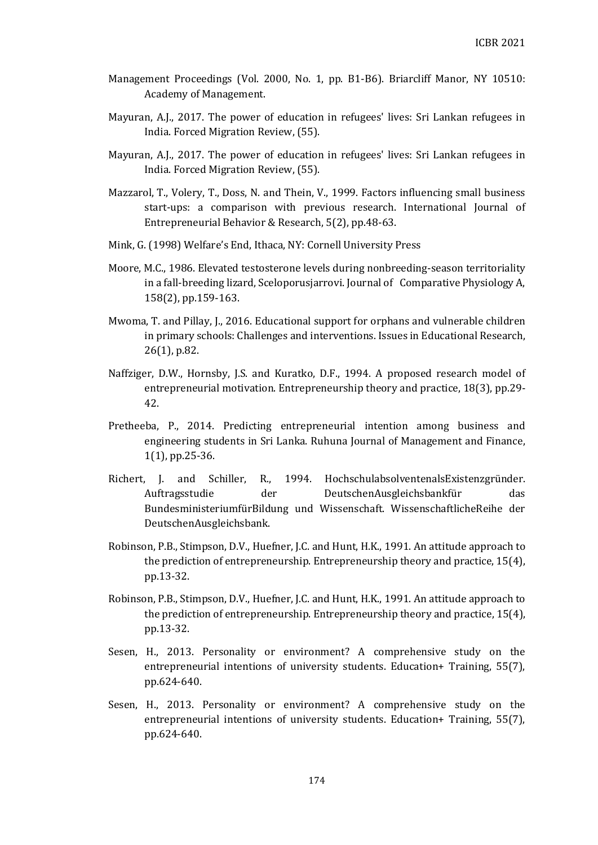- Management Proceedings (Vol. 2000, No. 1, pp. B1-B6). Briarcliff Manor, NY 10510: Academy of Management.
- Mayuran, A.J., 2017. The power of education in refugees' lives: Sri Lankan refugees in India. Forced Migration Review, (55).
- Mayuran, A.J., 2017. The power of education in refugees' lives: Sri Lankan refugees in India. Forced Migration Review, (55).
- Mazzarol, T., Volery, T., Doss, N. and Thein, V., 1999. Factors influencing small business start-ups: a comparison with previous research. International Journal of Entrepreneurial Behavior & Research, 5(2), pp.48-63.
- Mink, G. (1998) Welfare's End, Ithaca, NY: Cornell University Press
- Moore, M.C., 1986. Elevated testosterone levels during nonbreeding-season territoriality in a fall-breeding lizard, Sceloporusjarrovi. Journal of Comparative Physiology A, 158(2), pp.159-163.
- Mwoma, T. and Pillay, J., 2016. Educational support for orphans and vulnerable children in primary schools: Challenges and interventions. Issues in Educational Research, 26(1), p.82.
- Naffziger, D.W., Hornsby, J.S. and Kuratko, D.F., 1994. A proposed research model of entrepreneurial motivation. Entrepreneurship theory and practice, 18(3), pp.29- 42.
- Pretheeba, P., 2014. Predicting entrepreneurial intention among business and engineering students in Sri Lanka. Ruhuna Journal of Management and Finance, 1(1), pp.25-36.
- Richert, J. and Schiller, R., 1994. HochschulabsolventenalsExistenzgründer. Auftragsstudie der DeutschenAusgleichsbankfür das BundesministeriumfürBildung und Wissenschaft. WissenschaftlicheReihe der DeutschenAusgleichsbank.
- Robinson, P.B., Stimpson, D.V., Huefner, J.C. and Hunt, H.K., 1991. An attitude approach to the prediction of entrepreneurship. Entrepreneurship theory and practice, 15(4), pp.13-32.
- Robinson, P.B., Stimpson, D.V., Huefner, J.C. and Hunt, H.K., 1991. An attitude approach to the prediction of entrepreneurship. Entrepreneurship theory and practice, 15(4), pp.13-32.
- Sesen, H., 2013. Personality or environment? A comprehensive study on the entrepreneurial intentions of university students. Education+ Training, 55(7), pp.624-640.
- Sesen, H., 2013. Personality or environment? A comprehensive study on the entrepreneurial intentions of university students. Education+ Training, 55(7), pp.624-640.